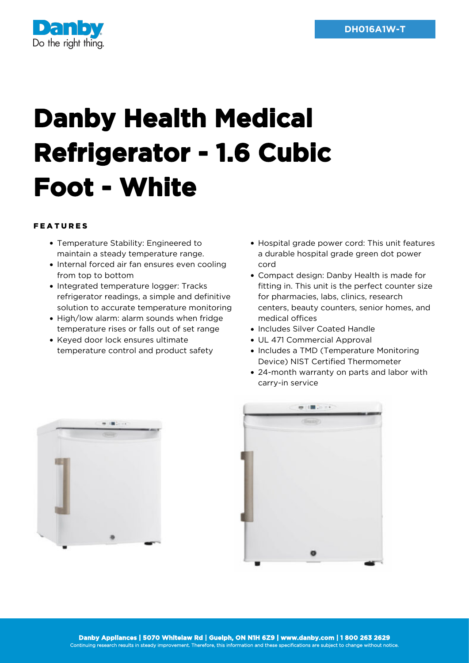

## **Danby Health Medical Refrigerator - 1.6 Cubic Foot - White**

## FEATURES

- Temperature Stability: Engineered to maintain a steady temperature range.
- Internal forced air fan ensures even cooling from top to bottom
- Integrated temperature logger: Tracks refrigerator readings, a simple and definitive solution to accurate temperature monitoring
- High/low alarm: alarm sounds when fridge temperature rises or falls out of set range
- Keyed door lock ensures ultimate temperature control and product safety
- Hospital grade power cord: This unit features a durable hospital grade green dot power cord
- Compact design: Danby Health is made for fitting in. This unit is the perfect counter size for pharmacies, labs, clinics, research centers, beauty counters, senior homes, and medical offices
- Includes Silver Coated Handle
- UL 471 Commercial Approval
- Includes a TMD (Temperature Monitoring Device) NIST Certified Thermometer
- 24-month warranty on parts and labor with carry-in service